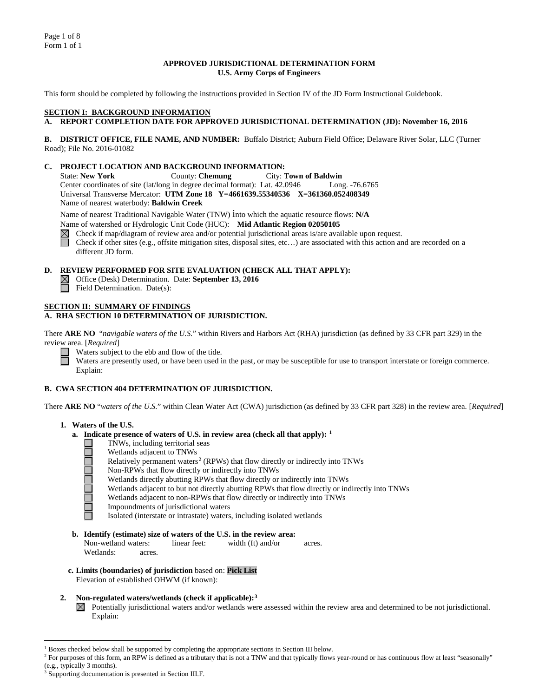#### **APPROVED JURISDICTIONAL DETERMINATION FORM U.S. Army Corps of Engineers**

This form should be completed by following the instructions provided in Section IV of the JD Form Instructional Guidebook.

#### **SECTION I: BACKGROUND INFORMATION**

# **A. REPORT COMPLETION DATE FOR APPROVED JURISDICTIONAL DETERMINATION (JD): November 16, 2016**

**B. DISTRICT OFFICE, FILE NAME, AND NUMBER:** Buffalo District; Auburn Field Office; Delaware River Solar, LLC (Turner Road); File No. 2016-01082

#### **C. PROJECT LOCATION AND BACKGROUND INFORMATION:**

State: **New York** County: **Chemung** City: **Town of Baldwin** Center coordinates of site (lat/long in degree decimal format): Lat. 42.0946 Long. -76.6765 Universal Transverse Mercator: **UTM Zone 18 Y=4661639.55340536 X=361360.052408349** Name of nearest waterbody: **Baldwin Creek**

Name of nearest Traditional Navigable Water (TNW) into which the aquatic resource flows: **N/A**

Name of watershed or Hydrologic Unit Code (HUC): **Mid Atlantic Region 02050105**

Check if map/diagram of review area and/or potential jurisdictional areas is/are available upon request.

Check if other sites (e.g., offsite mitigation sites, disposal sites, etc…) are associated with this action and are recorded on a different JD form.

#### **D. REVIEW PERFORMED FOR SITE EVALUATION (CHECK ALL THAT APPLY):**

- Office (Desk) Determination. Date: **September 13, 2016**
- Field Determination. Date(s):

#### **SECTION II: SUMMARY OF FINDINGS**

## **A. RHA SECTION 10 DETERMINATION OF JURISDICTION.**

There **ARE NO** "*navigable waters of the U.S.*" within Rivers and Harbors Act (RHA) jurisdiction (as defined by 33 CFR part 329) in the review area. [*Required*]

Waters subject to the ebb and flow of the tide.  $\Box$ 

Waters are presently used, or have been used in the past, or may be susceptible for use to transport interstate or foreign commerce. Explain:

#### **B. CWA SECTION 404 DETERMINATION OF JURISDICTION.**

There **ARE NO** "*waters of the U.S.*" within Clean Water Act (CWA) jurisdiction (as defined by 33 CFR part 328) in the review area. [*Required*]

## **1. Waters of the U.S.**

- **a. Indicate presence of waters of U.S. in review area (check all that apply): [1](#page-0-0)**
	- TNWs, including territorial seas 100000000
		- Wetlands adjacent to TNWs
		- Relatively permanent waters<sup>[2](#page-0-1)</sup> (RPWs) that flow directly or indirectly into TNWs
		- Non-RPWs that flow directly or indirectly into TNWs
		- Wetlands directly abutting RPWs that flow directly or indirectly into TNWs
		- Wetlands adjacent to but not directly abutting RPWs that flow directly or indirectly into TNWs
		- Wetlands adjacent to non-RPWs that flow directly or indirectly into TNWs
		- Impoundments of jurisdictional waters

Isolated (interstate or intrastate) waters, including isolated wetlands

- **b. Identify (estimate) size of waters of the U.S. in the review area:** Non-wetland waters: linear feet: width (ft) and/or acres. Wetlands: acres.
- **c. Limits (boundaries) of jurisdiction** based on: **Pick List** Elevation of established OHWM (if known):
- **2. Non-regulated waters/wetlands (check if applicable):[3](#page-0-2)**
	- Potentially jurisdictional waters and/or wetlands were assessed within the review area and determined to be not jurisdictional.  $\boxtimes$ Explain:

<span id="page-0-0"></span><sup>&</sup>lt;sup>1</sup> Boxes checked below shall be supported by completing the appropriate sections in Section III below.

<span id="page-0-1"></span><sup>&</sup>lt;sup>2</sup> For purposes of this form, an RPW is defined as a tributary that is not a TNW and that typically flows year-round or has continuous flow at least "seasonally" (e.g., typically 3 months).

<span id="page-0-2"></span>Supporting documentation is presented in Section III.F.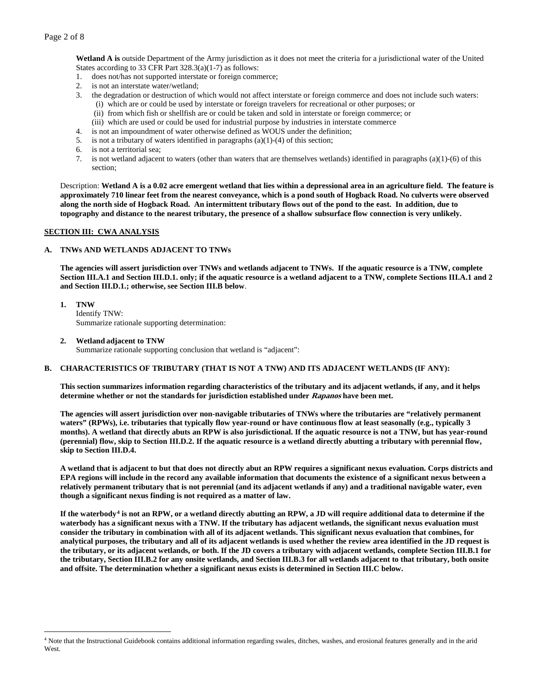**Wetland A is** outside Department of the Army jurisdiction as it does not meet the criteria for a jurisdictional water of the United States according to 33 CFR Part 328.3(a)(1-7) as follows:

- 1. does not/has not supported interstate or foreign commerce;
- 2. is not an interstate water/wetland;
- 3. the degradation or destruction of which would not affect interstate or foreign commerce and does not include such waters: (i) which are or could be used by interstate or foreign travelers for recreational or other purposes; or
	- (ii) from which fish or shellfish are or could be taken and sold in interstate or foreign commerce; or
	- (iii) which are used or could be used for industrial purpose by industries in interstate commerce
- 4. is not an impoundment of water otherwise defined as WOUS under the definition;
- 5. is not a tributary of waters identified in paragraphs (a)(1)-(4) of this section;
- 6. is not a territorial sea;
- 7. is not wetland adjacent to waters (other than waters that are themselves wetlands) identified in paragraphs (a)(1)-(6) of this section;

Description: **Wetland A is a 0.02 acre emergent wetland that lies within a depressional area in an agriculture field. The feature is approximately 710 linear feet from the nearest conveyance, which is a pond south of Hogback Road. No culverts were observed along the north side of Hogback Road. An intermittent tributary flows out of the pond to the east. In addition, due to topography and distance to the nearest tributary, the presence of a shallow subsurface flow connection is very unlikely.**

#### **SECTION III: CWA ANALYSIS**

## **A. TNWs AND WETLANDS ADJACENT TO TNWs**

**The agencies will assert jurisdiction over TNWs and wetlands adjacent to TNWs. If the aquatic resource is a TNW, complete Section III.A.1 and Section III.D.1. only; if the aquatic resource is a wetland adjacent to a TNW, complete Sections III.A.1 and 2 and Section III.D.1.; otherwise, see Section III.B below**.

- **1. TNW**  Identify TNW: Summarize rationale supporting determination:
- **2. Wetland adjacent to TNW**

Summarize rationale supporting conclusion that wetland is "adjacent":

## **B. CHARACTERISTICS OF TRIBUTARY (THAT IS NOT A TNW) AND ITS ADJACENT WETLANDS (IF ANY):**

**This section summarizes information regarding characteristics of the tributary and its adjacent wetlands, if any, and it helps determine whether or not the standards for jurisdiction established under Rapanos have been met.** 

**The agencies will assert jurisdiction over non-navigable tributaries of TNWs where the tributaries are "relatively permanent waters" (RPWs), i.e. tributaries that typically flow year-round or have continuous flow at least seasonally (e.g., typically 3 months). A wetland that directly abuts an RPW is also jurisdictional. If the aquatic resource is not a TNW, but has year-round (perennial) flow, skip to Section III.D.2. If the aquatic resource is a wetland directly abutting a tributary with perennial flow, skip to Section III.D.4.**

**A wetland that is adjacent to but that does not directly abut an RPW requires a significant nexus evaluation. Corps districts and EPA regions will include in the record any available information that documents the existence of a significant nexus between a relatively permanent tributary that is not perennial (and its adjacent wetlands if any) and a traditional navigable water, even though a significant nexus finding is not required as a matter of law.**

**If the waterbody[4](#page-1-0) is not an RPW, or a wetland directly abutting an RPW, a JD will require additional data to determine if the waterbody has a significant nexus with a TNW. If the tributary has adjacent wetlands, the significant nexus evaluation must consider the tributary in combination with all of its adjacent wetlands. This significant nexus evaluation that combines, for analytical purposes, the tributary and all of its adjacent wetlands is used whether the review area identified in the JD request is the tributary, or its adjacent wetlands, or both. If the JD covers a tributary with adjacent wetlands, complete Section III.B.1 for the tributary, Section III.B.2 for any onsite wetlands, and Section III.B.3 for all wetlands adjacent to that tributary, both onsite and offsite. The determination whether a significant nexus exists is determined in Section III.C below.**

<span id="page-1-0"></span> <sup>4</sup> Note that the Instructional Guidebook contains additional information regarding swales, ditches, washes, and erosional features generally and in the arid West.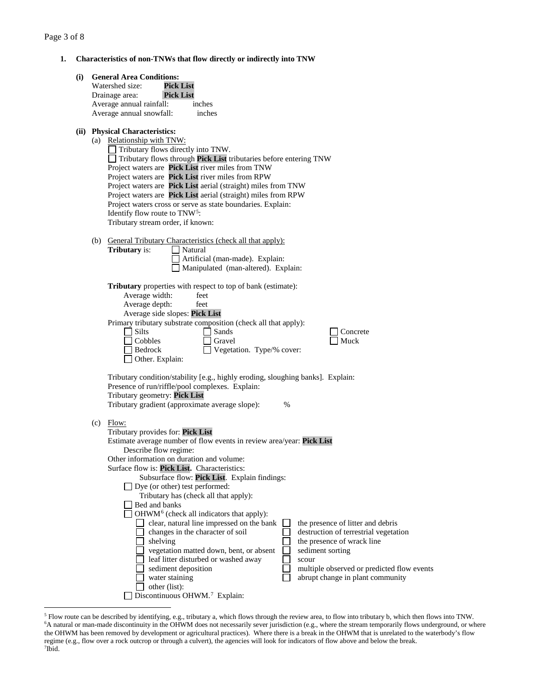**1. Characteristics of non-TNWs that flow directly or indirectly into TNW**

|  |                                | <b>General Area Conditions:</b>                                                                                    |  |  |
|--|--------------------------------|--------------------------------------------------------------------------------------------------------------------|--|--|
|  |                                | <b>Pick List</b><br>Watershed size:                                                                                |  |  |
|  |                                | Drainage area:<br><b>Pick List</b>                                                                                 |  |  |
|  |                                | Average annual rainfall:<br>inches                                                                                 |  |  |
|  |                                | Average annual snowfall:<br>inches                                                                                 |  |  |
|  | (ii) Physical Characteristics: |                                                                                                                    |  |  |
|  |                                | (a) Relationship with TNW:                                                                                         |  |  |
|  |                                | $\Box$ Tributary flows directly into TNW.                                                                          |  |  |
|  |                                | $\Box$ Tributary flows through Pick List tributaries before entering TNW                                           |  |  |
|  |                                | Project waters are Pick List river miles from TNW                                                                  |  |  |
|  |                                | Project waters are Pick List river miles from RPW<br>Project waters are Pick List aerial (straight) miles from TNW |  |  |
|  |                                | Project waters are Pick List aerial (straight) miles from RPW                                                      |  |  |
|  |                                | Project waters cross or serve as state boundaries. Explain:                                                        |  |  |
|  |                                | Identify flow route to TNW <sup>5</sup> :                                                                          |  |  |
|  |                                | Tributary stream order, if known:                                                                                  |  |  |
|  |                                |                                                                                                                    |  |  |
|  |                                | (b) General Tributary Characteristics (check all that apply):                                                      |  |  |
|  |                                | <b>Tributary</b> is:<br>$\exists$ Natural                                                                          |  |  |
|  |                                | Artificial (man-made). Explain:<br>Manipulated (man-altered). Explain:                                             |  |  |
|  |                                |                                                                                                                    |  |  |
|  |                                | <b>Tributary</b> properties with respect to top of bank (estimate):                                                |  |  |
|  |                                | Average width:<br>feet                                                                                             |  |  |
|  |                                | Average depth:<br>feet                                                                                             |  |  |
|  |                                | Average side slopes: Pick List                                                                                     |  |  |
|  |                                | Primary tributary substrate composition (check all that apply):                                                    |  |  |
|  |                                | $\Box$ Silts<br>$\Box$ Sands<br>Concrete                                                                           |  |  |
|  |                                | Muck<br>Cobbles<br>Gravel<br>Bedrock<br>Vegetation. Type/% cover:                                                  |  |  |
|  |                                | Other. Explain:                                                                                                    |  |  |
|  |                                |                                                                                                                    |  |  |
|  |                                | Tributary condition/stability [e.g., highly eroding, sloughing banks]. Explain:                                    |  |  |
|  |                                |                                                                                                                    |  |  |
|  |                                | Presence of run/riffle/pool complexes. Explain:                                                                    |  |  |
|  |                                | Tributary geometry: Pick List                                                                                      |  |  |
|  |                                | Tributary gradient (approximate average slope):<br>$\%$                                                            |  |  |
|  |                                |                                                                                                                    |  |  |
|  |                                | $(c)$ Flow:                                                                                                        |  |  |
|  |                                | Tributary provides for: Pick List                                                                                  |  |  |
|  |                                | Estimate average number of flow events in review area/year: Pick List                                              |  |  |
|  |                                | Describe flow regime:<br>Other information on duration and volume:                                                 |  |  |
|  |                                | Surface flow is: Pick List. Characteristics:                                                                       |  |  |
|  |                                | Subsurface flow: Pick List. Explain findings:                                                                      |  |  |
|  |                                | Dye (or other) test performed:                                                                                     |  |  |
|  |                                | Tributary has (check all that apply):                                                                              |  |  |
|  |                                | Bed and banks                                                                                                      |  |  |
|  |                                | OHWM <sup>6</sup> (check all indicators that apply):                                                               |  |  |
|  |                                | clear, natural line impressed on the bank<br>the presence of litter and debris                                     |  |  |
|  |                                | changes in the character of soil<br>destruction of terrestrial vegetation<br>the presence of wrack line            |  |  |
|  |                                | shelving<br>vegetation matted down, bent, or absent<br>sediment sorting                                            |  |  |
|  |                                | leaf litter disturbed or washed away<br>scour                                                                      |  |  |
|  |                                | sediment deposition<br>multiple observed or predicted flow events                                                  |  |  |
|  |                                | abrupt change in plant community<br>water staining<br>other (list):                                                |  |  |

<span id="page-2-2"></span><span id="page-2-1"></span><span id="page-2-0"></span> <sup>5</sup> Flow route can be described by identifying, e.g., tributary a, which flows through the review area, to flow into tributary b, which then flows into TNW. 6 A natural or man-made discontinuity in the OHWM does not necessarily sever jurisdiction (e.g., where the stream temporarily flows underground, or where the OHWM has been removed by development or agricultural practices). Where there is a break in the OHWM that is unrelated to the waterbody's flow regime (e.g., flow over a rock outcrop or through a culvert), the agencies will look for indicators of flow above and below the break. 7 Ibid.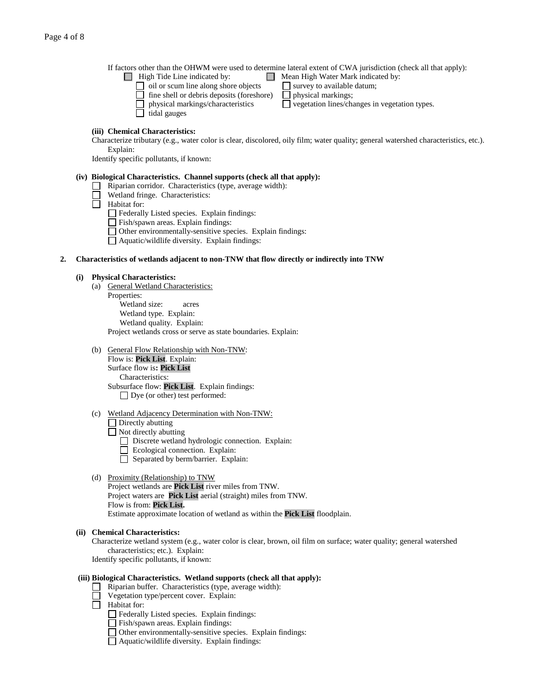If factors other than the OHWM were used to determine lateral extent of CWA jurisdiction (check all that apply):<br> **IF** High Tide Line indicated by:  $\Box$  Mean High Water Mark indicated by:

- - $\Box$  oil or scum line along shore objects  $\Box$  survey to available datum;
	- $\Box$  fine shell or debris deposits (foreshore)  $\Box$  physical markings;
	- physical markings/characteristics  $\Box$  vegetation lines/changes in vegetation types.
- - $\Box$  tidal gauges
		-

## **(iii) Chemical Characteristics:**

Characterize tributary (e.g., water color is clear, discolored, oily film; water quality; general watershed characteristics, etc.). Explain:

Identify specific pollutants, if known:

#### **(iv) Biological Characteristics. Channel supports (check all that apply):**

- $\Box$  Riparian corridor. Characteristics (type, average width):
- Wetland fringe. Characteristics:
- $\overline{\Box}$  Habitat for:
	- Federally Listed species. Explain findings:
	- Fish/spawn areas. Explain findings:
	- Other environmentally-sensitive species. Explain findings:
	- Aquatic/wildlife diversity. Explain findings:

### **2. Characteristics of wetlands adjacent to non-TNW that flow directly or indirectly into TNW**

#### **(i) Physical Characteristics:**

- (a) General Wetland Characteristics: Properties: Wetland size: acres Wetland type. Explain: Wetland quality. Explain: Project wetlands cross or serve as state boundaries. Explain:
- (b) General Flow Relationship with Non-TNW: Flow is: **Pick List**. Explain: Surface flow is**: Pick List**

# Characteristics:

Subsurface flow: **Pick List**. Explain findings:

- □ Dye (or other) test performed:
- (c) Wetland Adjacency Determination with Non-TNW:

#### Directly abutting

- $\overline{\Box}$  Not directly abutting
	- Discrete wetland hydrologic connection. Explain:
	- Ecological connection. Explain:
	- Separated by berm/barrier. Explain:

## (d) Proximity (Relationship) to TNW

Project wetlands are **Pick List** river miles from TNW. Project waters are **Pick List** aerial (straight) miles from TNW. Flow is from: **Pick List.** Estimate approximate location of wetland as within the **Pick List** floodplain.

## **(ii) Chemical Characteristics:**

Characterize wetland system (e.g., water color is clear, brown, oil film on surface; water quality; general watershed characteristics; etc.). Explain:

Identify specific pollutants, if known:

#### **(iii) Biological Characteristics. Wetland supports (check all that apply):**

- Riparian buffer. Characteristics (type, average width):
- Vegetation type/percent cover. Explain:
- $\Box$  Habitat for:
	- Federally Listed species. Explain findings:
	- Fish/spawn areas. Explain findings:
	- Other environmentally-sensitive species. Explain findings:
	- Aquatic/wildlife diversity. Explain findings: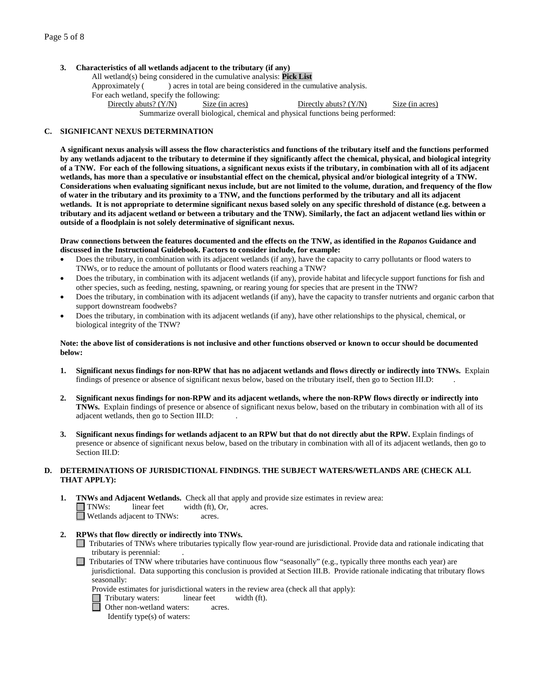## **3. Characteristics of all wetlands adjacent to the tributary (if any)**

All wetland(s) being considered in the cumulative analysis: **Pick List** Approximately () acres in total are being considered in the cumulative analysis. For each wetland, specify the following: Directly abuts? (Y/N) Size (in acres) Directly abuts? (Y/N) Size (in acres) Summarize overall biological, chemical and physical functions being performed:

#### **C. SIGNIFICANT NEXUS DETERMINATION**

**A significant nexus analysis will assess the flow characteristics and functions of the tributary itself and the functions performed by any wetlands adjacent to the tributary to determine if they significantly affect the chemical, physical, and biological integrity of a TNW. For each of the following situations, a significant nexus exists if the tributary, in combination with all of its adjacent wetlands, has more than a speculative or insubstantial effect on the chemical, physical and/or biological integrity of a TNW. Considerations when evaluating significant nexus include, but are not limited to the volume, duration, and frequency of the flow of water in the tributary and its proximity to a TNW, and the functions performed by the tributary and all its adjacent wetlands. It is not appropriate to determine significant nexus based solely on any specific threshold of distance (e.g. between a tributary and its adjacent wetland or between a tributary and the TNW). Similarly, the fact an adjacent wetland lies within or outside of a floodplain is not solely determinative of significant nexus.** 

**Draw connections between the features documented and the effects on the TNW, as identified in the** *Rapanos* **Guidance and discussed in the Instructional Guidebook. Factors to consider include, for example:**

- Does the tributary, in combination with its adjacent wetlands (if any), have the capacity to carry pollutants or flood waters to TNWs, or to reduce the amount of pollutants or flood waters reaching a TNW?
- Does the tributary, in combination with its adjacent wetlands (if any), provide habitat and lifecycle support functions for fish and other species, such as feeding, nesting, spawning, or rearing young for species that are present in the TNW?
- Does the tributary, in combination with its adjacent wetlands (if any), have the capacity to transfer nutrients and organic carbon that support downstream foodwebs?
- Does the tributary, in combination with its adjacent wetlands (if any), have other relationships to the physical, chemical, or biological integrity of the TNW?

#### **Note: the above list of considerations is not inclusive and other functions observed or known to occur should be documented below:**

- **1. Significant nexus findings for non-RPW that has no adjacent wetlands and flows directly or indirectly into TNWs.** Explain findings of presence or absence of significant nexus below, based on the tributary itself, then go to Section III.D: .
- **2. Significant nexus findings for non-RPW and its adjacent wetlands, where the non-RPW flows directly or indirectly into TNWs.** Explain findings of presence or absence of significant nexus below, based on the tributary in combination with all of its adjacent wetlands, then go to Section III.D: .
- **3. Significant nexus findings for wetlands adjacent to an RPW but that do not directly abut the RPW.** Explain findings of presence or absence of significant nexus below, based on the tributary in combination with all of its adjacent wetlands, then go to Section III.D:

#### **D. DETERMINATIONS OF JURISDICTIONAL FINDINGS. THE SUBJECT WATERS/WETLANDS ARE (CHECK ALL THAT APPLY):**

- **1. TNWs and Adjacent Wetlands.** Check all that apply and provide size estimates in review area:  $\Box$  **TNWs:** linear feet width (ft), Or, acres.  $width (ft), Or, \narepsilon are$ . Wetlands adjacent to TNWs: acres.
- **2. RPWs that flow directly or indirectly into TNWs.**
	- Tributaries of TNWs where tributaries typically flow year-round are jurisdictional. Provide data and rationale indicating that tributary is perennial: .
	- Tributaries of TNW where tributaries have continuous flow "seasonally" (e.g., typically three months each year) are jurisdictional. Data supporting this conclusion is provided at Section III.B. Provide rationale indicating that tributary flows seasonally:
		- Provide estimates for jurisdictional waters in the review area (check all that apply):
		- Tributary waters: linear feet width (ft).
		- $\Box$  Other non-wetland waters: acres.
			- Identify type(s) of waters: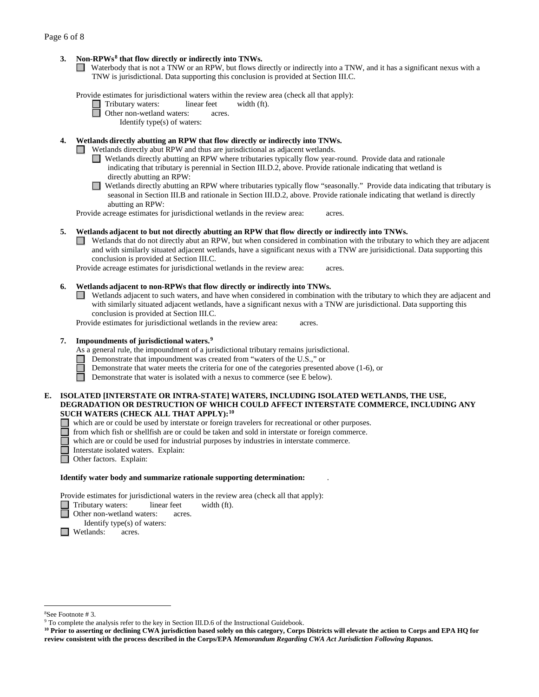## **3. Non-RPWs[8](#page-5-0) that flow directly or indirectly into TNWs.**

Waterbody that is not a TNW or an RPW, but flows directly or indirectly into a TNW, and it has a significant nexus with a TNW is jurisdictional. Data supporting this conclusion is provided at Section III.C.

Provide estimates for jurisdictional waters within the review area (check all that apply):

Tributary waters: linear feet width (ft).

**D** Other non-wetland waters: acres.

Identify type(s) of waters:

## **4. Wetlands directly abutting an RPW that flow directly or indirectly into TNWs.**

Wetlands directly abut RPW and thus are jurisdictional as adjacent wetlands.

- Wetlands directly abutting an RPW where tributaries typically flow year-round. Provide data and rationale indicating that tributary is perennial in Section III.D.2, above. Provide rationale indicating that wetland is directly abutting an RPW:
- Wetlands directly abutting an RPW where tributaries typically flow "seasonally." Provide data indicating that tributary is  $\Box$ seasonal in Section III.B and rationale in Section III.D.2, above. Provide rationale indicating that wetland is directly abutting an RPW:

Provide acreage estimates for jurisdictional wetlands in the review area: acres.

#### **5. Wetlands adjacent to but not directly abutting an RPW that flow directly or indirectly into TNWs.**

Wetlands that do not directly abut an RPW, but when considered in combination with the tributary to which they are adjacent and with similarly situated adjacent wetlands, have a significant nexus with a TNW are jurisidictional. Data supporting this conclusion is provided at Section III.C.

Provide acreage estimates for jurisdictional wetlands in the review area: acres.

#### **6. Wetlands adjacent to non-RPWs that flow directly or indirectly into TNWs.**

 $\Box$  Wetlands adjacent to such waters, and have when considered in combination with the tributary to which they are adjacent and with similarly situated adjacent wetlands, have a significant nexus with a TNW are jurisdictional. Data supporting this conclusion is provided at Section III.C.

Provide estimates for jurisdictional wetlands in the review area: acres.

#### **7. Impoundments of jurisdictional waters. [9](#page-5-1)**

As a general rule, the impoundment of a jurisdictional tributary remains jurisdictional.

- Demonstrate that impoundment was created from "waters of the U.S.," or
	- Demonstrate that water meets the criteria for one of the categories presented above (1-6), or
- Π Demonstrate that water is isolated with a nexus to commerce (see E below).

#### **E. ISOLATED [INTERSTATE OR INTRA-STATE] WATERS, INCLUDING ISOLATED WETLANDS, THE USE, DEGRADATION OR DESTRUCTION OF WHICH COULD AFFECT INTERSTATE COMMERCE, INCLUDING ANY SUCH WATERS (CHECK ALL THAT APPLY):[10](#page-5-2)**

- which are or could be used by interstate or foreign travelers for recreational or other purposes.
- from which fish or shellfish are or could be taken and sold in interstate or foreign commerce.
- which are or could be used for industrial purposes by industries in interstate commerce.
- Interstate isolated waters. Explain:<br> **Other factors.** Explain:
	- Other factors.Explain:

# **Identify water body and summarize rationale supporting determination:** .

Provide estimates for jurisdictional waters in the review area (check all that apply):

- Tributary waters: linear feet width (ft).
- Other non-wetland waters: acres.

Identify type(s) of waters:

 $\Box$  Wetlands: acres.

 $\frac{1}{8}$ 

<span id="page-5-1"></span><span id="page-5-0"></span><sup>&</sup>lt;sup>8</sup>See Footnote # 3. 9  $\degree$  3. 9 To complete the analysis refer to the key in Section III.D.6 of the Instructional Guidebook.

<span id="page-5-2"></span>**<sup>10</sup> Prior to asserting or declining CWA jurisdiction based solely on this category, Corps Districts will elevate the action to Corps and EPA HQ for review consistent with the process described in the Corps/EPA** *Memorandum Regarding CWA Act Jurisdiction Following Rapanos.*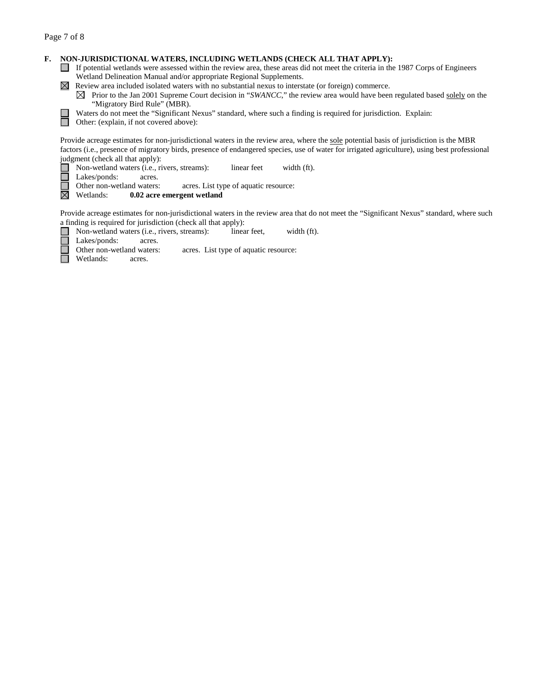$\Box$ 

г ╔ П

## **F. NON-JURISDICTIONAL WATERS, INCLUDING WETLANDS (CHECK ALL THAT APPLY):**

- If potential wetlands were assessed within the review area, these areas did not meet the criteria in the 1987 Corps of Engineers Wetland Delineation Manual and/or appropriate Regional Supplements.
- $\boxtimes$  Review area included isolated waters with no substantial nexus to interstate (or foreign) commerce.
	- $\boxtimes$  Prior to the Jan 2001 Supreme Court decision in "*SWANCC*," the review area would have been regulated based solely on the "Migratory Bird Rule" (MBR).
	- Waters do not meet the "Significant Nexus" standard, where such a finding is required for jurisdiction. Explain:

Other: (explain, if not covered above):

Provide acreage estimates for non-jurisdictional waters in the review area, where the sole potential basis of jurisdiction is the MBR factors (i.e., presence of migratory birds, presence of endangered species, use of water for irrigated agriculture), using best professional judgment (check all that apply):

- **■** Non-wetland waters (i.e., rivers, streams): linear feet width (ft).<br>■ Lakes/ponds: acres.
	-
- $\sqcup$ Lakes/ponds: acres.<br>Other non-wetland waters: acres. List type of aquatic resource:

岗 Wetlands: **0.02 acre emergent wetland**

Provide acreage estimates for non-jurisdictional waters in the review area that do not meet the "Significant Nexus" standard, where such a finding is required for jurisdiction (check all that apply):

- Non-wetland waters (i.e., rivers, streams): linear feet, width (ft).
- 

Lakes/ponds: acres.<br>Other non-wetland waters: acres. List type of aquatic resource:

Wetlands: acres.